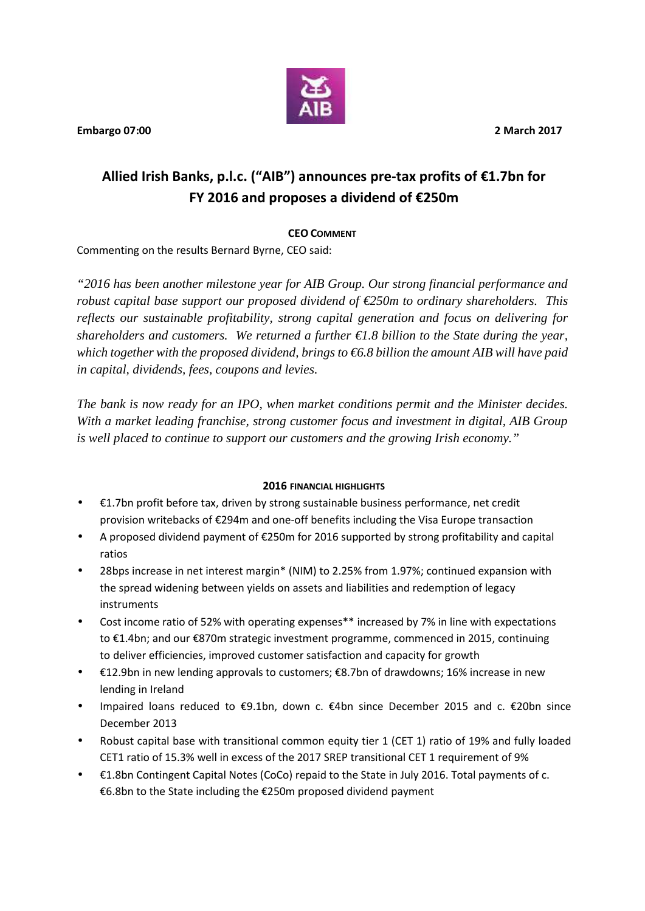

**Embargo 07:00 2 March 2017**

# **Allied Irish Banks, p.l.c. ("AIB") announces pre-tax profits of €1.7bn for FY 2016 and proposes a dividend of €250m**

# **CEO COMMENT**

Commenting on the results Bernard Byrne, CEO said:

*"2016 has been another milestone year for AIB Group. Our strong financial performance and robust capital base support our proposed dividend of €250m to ordinary shareholders. This reflects our sustainable profitability, strong capital generation and focus on delivering for shareholders and customers. We returned a further €1.8 billion to the State during the year, which together with the proposed dividend, brings to €6.8 billion the amount AIB will have paid in capital, dividends, fees, coupons and levies.*

*The bank is now ready for an IPO, when market conditions permit and the Minister decides. With a market leading franchise, strong customer focus and investment in digital, AIB Group is well placed to continue to support our customers and the growing Irish economy."*

## **2016 FINANCIAL HIGHLIGHTS**

- €1.7bn profit before tax, driven by strong sustainable business performance, net credit provision writebacks of €294m and one-off benefits including the Visa Europe transaction
- A proposed dividend payment of €250m for 2016 supported by strong profitability and capital ratios
- 28bps increase in net interest margin\* (NIM) to 2.25% from 1.97%; continued expansion with the spread widening between yields on assets and liabilities and redemption of legacy instruments
- Cost income ratio of 52% with operating expenses\*\* increased by 7% in line with expectations to €1.4bn; and our €870m strategic investment programme, commenced in 2015, continuing to deliver efficiencies, improved customer satisfaction and capacity for growth
- €12.9bn in new lending approvals to customers; €8.7bn of drawdowns; 16% increase in new lending in Ireland
- Impaired loans reduced to €9.1bn, down c. €4bn since December 2015 and c. €20bn since December 2013
- Robust capital base with transitional common equity tier 1 (CET 1) ratio of 19% and fully loaded CET1 ratio of 15.3% well in excess of the 2017 SREP transitional CET 1 requirement of 9%
- €1.8bn Contingent Capital Notes (CoCo) repaid to the State in July 2016. Total payments of c. €6.8bn to the State including the €250m proposed dividend payment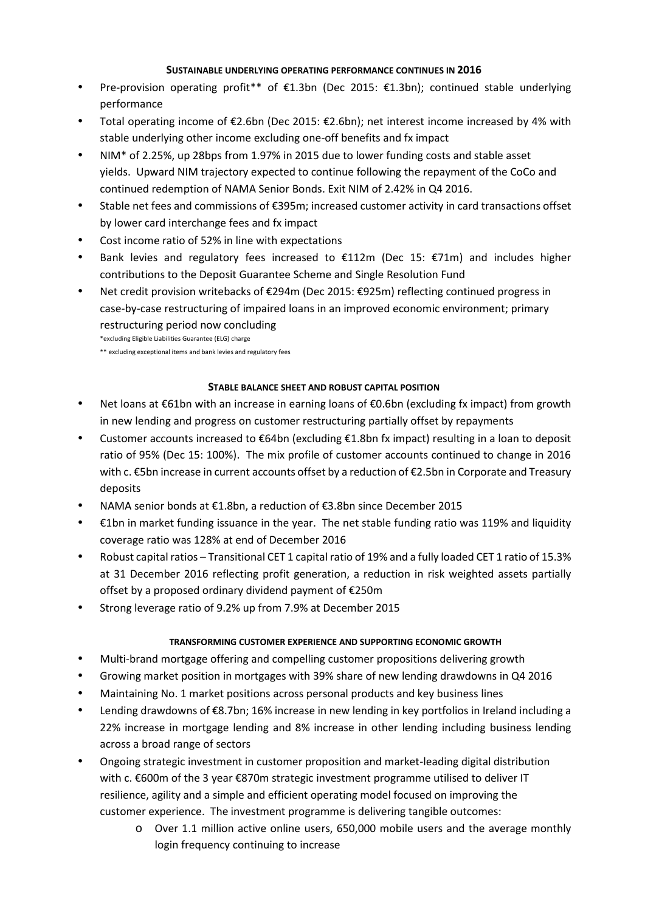#### **SUSTAINABLE UNDERLYING OPERATING PERFORMANCE CONTINUES IN 2016**

- Pre-provision operating profit\*\* of €1.3bn (Dec 2015: €1.3bn); continued stable underlying performance
- Total operating income of €2.6bn (Dec 2015: €2.6bn); net interest income increased by 4% with stable underlying other income excluding one-off benefits and fx impact
- NIM\* of 2.25%, up 28bps from 1.97% in 2015 due to lower funding costs and stable asset yields. Upward NIM trajectory expected to continue following the repayment of the CoCo and continued redemption of NAMA Senior Bonds. Exit NIM of 2.42% in Q4 2016.
- Stable net fees and commissions of €395m; increased customer activity in card transactions offset by lower card interchange fees and fx impact
- Cost income ratio of 52% in line with expectations
- Bank levies and regulatory fees increased to €112m (Dec 15: €71m) and includes higher contributions to the Deposit Guarantee Scheme and Single Resolution Fund
- Net credit provision writebacks of €294m (Dec 2015: €925m) reflecting continued progress in case-by-case restructuring of impaired loans in an improved economic environment; primary restructuring period now concluding

\*excluding Eligible Liabilities Guarantee (ELG) charge

\*\* excluding exceptional items and bank levies and regulatory fees

## **STABLE BALANCE SHEET AND ROBUST CAPITAL POSITION**

- Net loans at €61bn with an increase in earning loans of €0.6bn (excluding fx impact) from growth in new lending and progress on customer restructuring partially offset by repayments
- Customer accounts increased to €64bn (excluding €1.8bn fx impact) resulting in a loan to deposit ratio of 95% (Dec 15: 100%). The mix profile of customer accounts continued to change in 2016 with c. €5bn increase in current accounts offset by a reduction of €2.5bn in Corporate and Treasury deposits
- NAMA senior bonds at €1.8bn, a reduction of €3.8bn since December 2015
- €1bn in market funding issuance in the year. The net stable funding ratio was 119% and liquidity coverage ratio was 128% at end of December 2016
- Robust capital ratios Transitional CET 1 capital ratio of 19% and a fully loaded CET 1 ratio of 15.3% at 31 December 2016 reflecting profit generation, a reduction in risk weighted assets partially offset by a proposed ordinary dividend payment of €250m
- Strong leverage ratio of 9.2% up from 7.9% at December 2015

## **TRANSFORMING CUSTOMER EXPERIENCE AND SUPPORTING ECONOMIC GROWTH**

- Multi-brand mortgage offering and compelling customer propositions delivering growth
- Growing market position in mortgages with 39% share of new lending drawdowns in Q4 2016
- Maintaining No. 1 market positions across personal products and key business lines
- Lending drawdowns of €8.7bn; 16% increase in new lending in key portfolios in Ireland including a 22% increase in mortgage lending and 8% increase in other lending including business lending across a broad range of sectors
- Ongoing strategic investment in customer proposition and market-leading digital distribution with c. €600m of the 3 year €870m strategic investment programme utilised to deliver IT resilience, agility and a simple and efficient operating model focused on improving the customer experience. The investment programme is delivering tangible outcomes:
	- o Over 1.1 million active online users, 650,000 mobile users and the average monthly login frequency continuing to increase